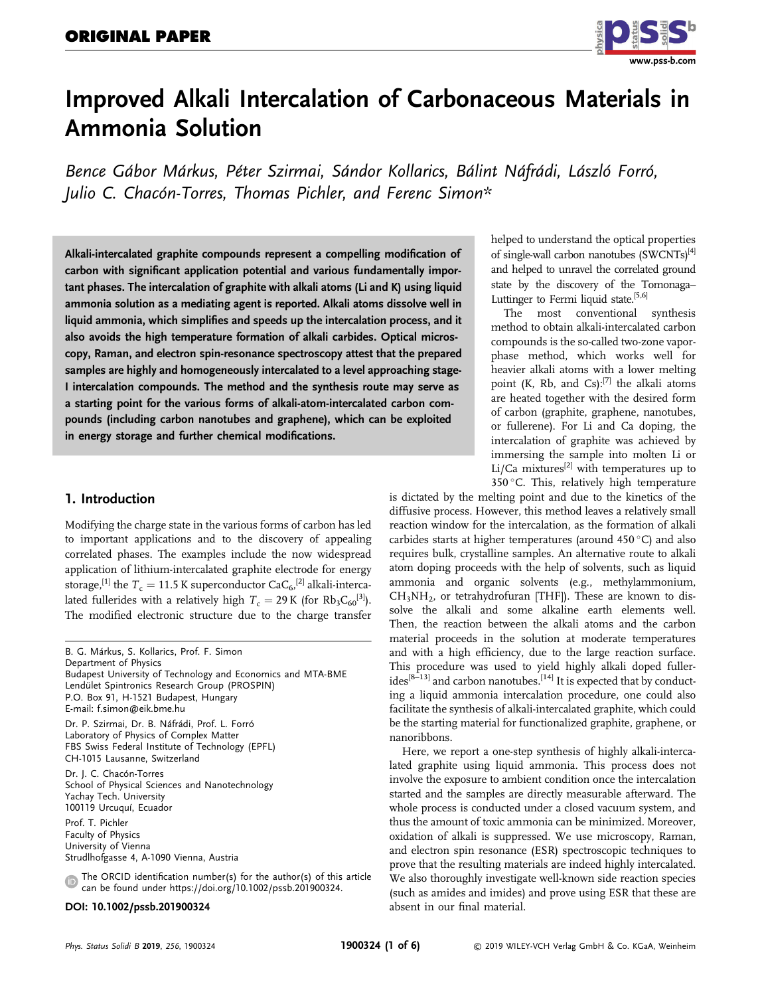

# Improved Alkali Intercalation of Carbonaceous Materials in Ammonia Solution

Bence Gábor Márkus, Péter Szirmai, Sándor Kollarics, Bálint Náfrádi, László Forró, Julio C. Chacón-Torres, Thomas Pichler, and Ferenc Simon\*

Alkali-intercalated graphite compounds represent a compelling modification of carbon with significant application potential and various fundamentally important phases. The intercalation of graphite with alkali atoms (Li and K) using liquid ammonia solution as a mediating agent is reported. Alkali atoms dissolve well in liquid ammonia, which simplifies and speeds up the intercalation process, and it also avoids the high temperature formation of alkali carbides. Optical microscopy, Raman, and electron spin-resonance spectroscopy attest that the prepared samples are highly and homogeneously intercalated to a level approaching stage-I intercalation compounds. The method and the synthesis route may serve as a starting point for the various forms of alkali-atom-intercalated carbon compounds (including carbon nanotubes and graphene), which can be exploited in energy storage and further chemical modifications.

# 1. Introduction

Modifying the charge state in the various forms of carbon has led to important applications and to the discovery of appealing correlated phases. The examples include the now widespread application of lithium-intercalated graphite electrode for energy storage,<sup>[1]</sup> the  $T_c = 11.5$  K superconductor CaC<sub>6</sub>,<sup>[2]</sup> alkali-interca-<br>lated fullerides with a relatively high  $T_c = 20$  K (for Ph C<sub>1</sub><sup>3</sup>). lated fullerides with a relatively high  $T_c = 29$  K (for Rb<sub>3</sub>C<sub>60</sub><sup>[3]</sup>). The modified electronic structure due to the charge transfer

B. G. Márkus, S. Kollarics, Prof. F. Simon Department of Physics Budapest University of Technology and Economics and MTA-BME Lendület Spintronics Research Group (PROSPIN) P.O. Box 91, H-1521 Budapest, Hungary E-mail: [f.simon@eik.bme.hu](mailto:f.simon@eik.bme.hu) Dr. P. Szirmai, Dr. B. Náfrádi, Prof. L. Forró Laboratory of Physics of Complex Matter FBS Swiss Federal Institute of Technology (EPFL) CH-1015 Lausanne, Switzerland Dr. J. C. Chacón-Torres School of Physical Sciences and Nanotechnology Yachay Tech. University 100119 Urcuquí, Ecuador Prof. T. Pichler

Faculty of Physics University of Vienna Strudlhofgasse 4, A-1090 Vienna, Austria

The ORCID identification number(s) for the author(s) of this article  $\bigcirc$ can be found under<https://doi.org/10.1002/pssb.201900324>.

#### DOI: 10.1002/pssb.201900324

helped to understand the optical properties of single-wall carbon nanotubes (SWCNTs)<sup>[4]</sup> and helped to unravel the correlated ground state by the discovery of the Tomonaga– Luttinger to Fermi liquid state.<sup>[5,6]</sup>

The most conventional synthesis method to obtain alkali-intercalated carbon compounds is the so-called two-zone vaporphase method, which works well for heavier alkali atoms with a lower melting point (K, Rb, and Cs): $^{[7]}$  the alkali atoms are heated together with the desired form of carbon (graphite, graphene, nanotubes, or fullerene). For Li and Ca doping, the intercalation of graphite was achieved by immersing the sample into molten Li or Li/Ca mixtures<sup>[2]</sup> with temperatures up to 350 °C. This, relatively high temperature

is dictated by the melting point and due to the kinetics of the diffusive process. However, this method leaves a relatively small reaction window for the intercalation, as the formation of alkali carbides starts at higher temperatures (around 450  $^{\circ}$ C) and also requires bulk, crystalline samples. An alternative route to alkali atom doping proceeds with the help of solvents, such as liquid ammonia and organic solvents (e.g., methylammonium,  $CH<sub>3</sub>NH<sub>2</sub>$ , or tetrahydrofuran [THF]). These are known to dissolve the alkali and some alkaline earth elements well. Then, the reaction between the alkali atoms and the carbon material proceeds in the solution at moderate temperatures and with a high efficiency, due to the large reaction surface. This procedure was used to yield highly alkali doped fuller $ides^{[8-13]}$  and carbon nanotubes.<sup>[14]</sup> It is expected that by conducting a liquid ammonia intercalation procedure, one could also facilitate the synthesis of alkali-intercalated graphite, which could be the starting material for functionalized graphite, graphene, or nanoribbons.

Here, we report a one-step synthesis of highly alkali-intercalated graphite using liquid ammonia. This process does not involve the exposure to ambient condition once the intercalation started and the samples are directly measurable afterward. The whole process is conducted under a closed vacuum system, and thus the amount of toxic ammonia can be minimized. Moreover, oxidation of alkali is suppressed. We use microscopy, Raman, and electron spin resonance (ESR) spectroscopic techniques to prove that the resulting materials are indeed highly intercalated. We also thoroughly investigate well-known side reaction species (such as amides and imides) and prove using ESR that these are absent in our final material.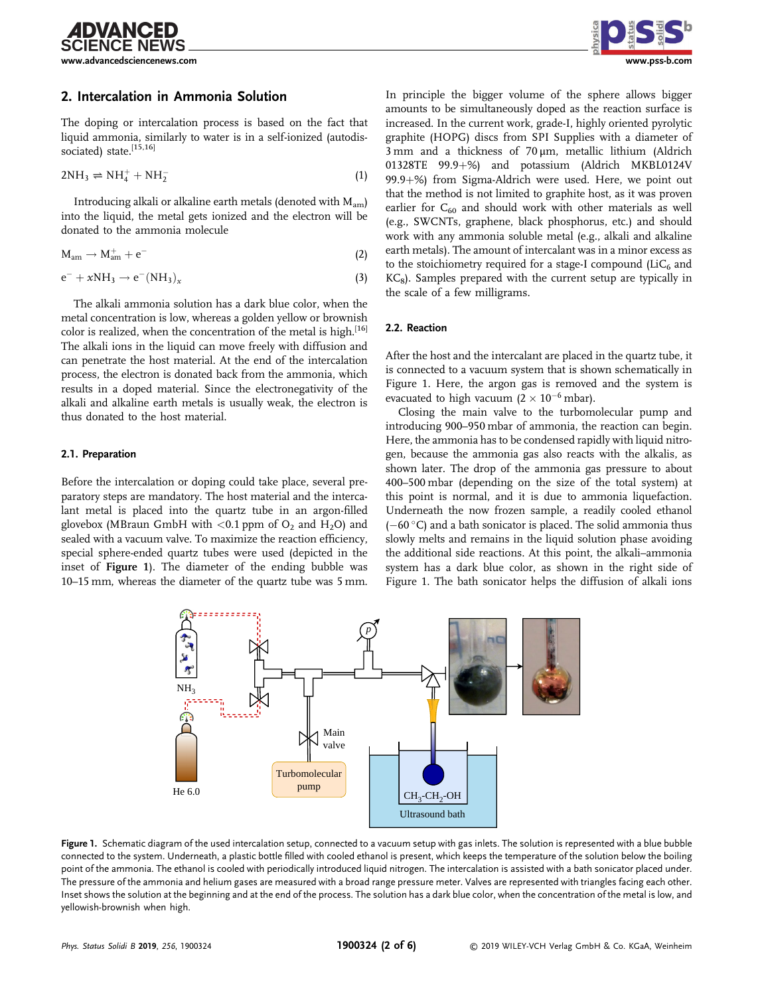[www.advancedsciencenews.com](http://www.advancedsciencenews.com) [www.pss-b.com](http://www.pss-b.com)

**IDVANCED** 

# 2. Intercalation in Ammonia Solution

The doping or intercalation process is based on the fact that liquid ammonia, similarly to water is in a self-ionized (autodissociated) state.<sup>[15,16]</sup>

$$
2NH_3 \rightleftharpoons NH_4^+ + NH_2^- \tag{1}
$$

Introducing alkali or alkaline earth metals (denoted with  $M_{\text{am}}$ ) into the liquid, the metal gets ionized and the electron will be donated to the ammonia molecule

$$
M_{am} \rightarrow M_{am}^+ + e^-
$$
 (2)

$$
e^- + xNH_3 \rightarrow e^-(NH_3)_x \tag{3}
$$

The alkali ammonia solution has a dark blue color, when the metal concentration is low, whereas a golden yellow or brownish color is realized, when the concentration of the metal is high.<sup>[16]</sup> The alkali ions in the liquid can move freely with diffusion and can penetrate the host material. At the end of the intercalation process, the electron is donated back from the ammonia, which results in a doped material. Since the electronegativity of the alkali and alkaline earth metals is usually weak, the electron is thus donated to the host material.

#### 2.1. Preparation

Before the intercalation or doping could take place, several preparatory steps are mandatory. The host material and the intercalant metal is placed into the quartz tube in an argon-filled glovebox (MBraun GmbH with  $\langle 0.1$  ppm of O<sub>2</sub> and H<sub>2</sub>O) and sealed with a vacuum valve. To maximize the reaction efficiency, special sphere-ended quartz tubes were used (depicted in the inset of Figure 1). The diameter of the ending bubble was 10–15 mm, whereas the diameter of the quartz tube was 5 mm.



In principle the bigger volume of the sphere allows bigger amounts to be simultaneously doped as the reaction surface is increased. In the current work, grade-I, highly oriented pyrolytic graphite (HOPG) discs from SPI Supplies with a diameter of 3 mm and a thickness of 70 μm, metallic lithium (Aldrich 01328TE 99.9+%) and potassium (Aldrich MKBL0124V 99.9+%) from Sigma-Aldrich were used. Here, we point out that the method is not limited to graphite host, as it was proven earlier for  $C_{60}$  and should work with other materials as well (e.g., SWCNTs, graphene, black phosphorus, etc.) and should work with any ammonia soluble metal (e.g., alkali and alkaline earth metals). The amount of intercalant was in a minor excess as to the stoichiometry required for a stage-I compound  $(LiC_6)$  and  $KC<sub>8</sub>$ ). Samples prepared with the current setup are typically in the scale of a few milligrams.

#### 2.2. Reaction

After the host and the intercalant are placed in the quartz tube, it is connected to a vacuum system that is shown schematically in Figure 1. Here, the argon gas is removed and the system is evacuated to high vacuum  $(2 \times 10^{-6} \text{ mbar})$ .

Closing the main valve to the turbomolecular pump and introducing 900–950 mbar of ammonia, the reaction can begin. Here, the ammonia has to be condensed rapidly with liquid nitrogen, because the ammonia gas also reacts with the alkalis, as shown later. The drop of the ammonia gas pressure to about 400–500 mbar (depending on the size of the total system) at this point is normal, and it is due to ammonia liquefaction. Underneath the now frozen sample, a readily cooled ethanol  $(-60\degree C)$  and a bath sonicator is placed. The solid ammonia thus slowly melts and remains in the liquid solution phase avoiding the additional side reactions. At this point, the alkali–ammonia system has a dark blue color, as shown in the right side of Figure 1. The bath sonicator helps the diffusion of alkali ions



Figure 1. Schematic diagram of the used intercalation setup, connected to a vacuum setup with gas inlets. The solution is represented with a blue bubble connected to the system. Underneath, a plastic bottle filled with cooled ethanol is present, which keeps the temperature of the solution below the boiling point of the ammonia. The ethanol is cooled with periodically introduced liquid nitrogen. The intercalation is assisted with a bath sonicator placed under. The pressure of the ammonia and helium gases are measured with a broad range pressure meter. Valves are represented with triangles facing each other. Inset shows the solution at the beginning and at the end of the process. The solution has a dark blue color, when the concentration of the metal is low, and yellowish-brownish when high.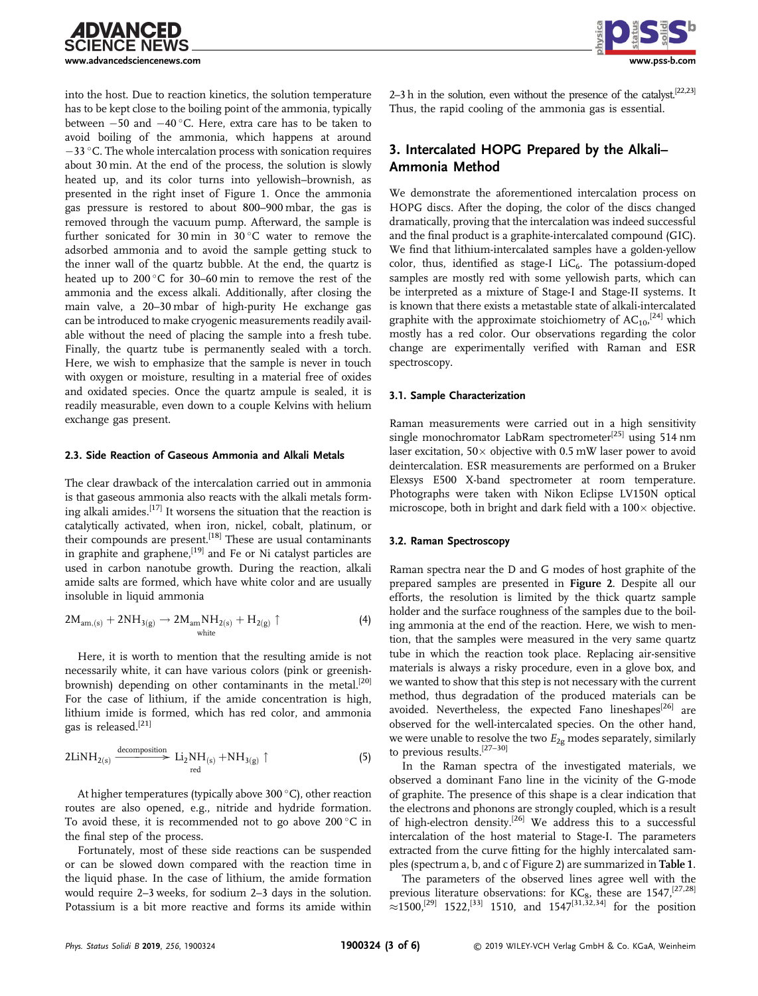

into the host. Due to reaction kinetics, the solution temperature has to be kept close to the boiling point of the ammonia, typically between  $-50$  and  $-40^{\circ}$ C. Here, extra care has to be taken to avoid boiling of the ammonia, which happens at around  $-33$  °C. The whole intercalation process with sonication requires about 30 min. At the end of the process, the solution is slowly heated up, and its color turns into yellowish–brownish, as presented in the right inset of Figure 1. Once the ammonia gas pressure is restored to about 800–900 mbar, the gas is removed through the vacuum pump. Afterward, the sample is further sonicated for  $30 \text{ min}$  in  $30 \degree C$  water to remove the adsorbed ammonia and to avoid the sample getting stuck to the inner wall of the quartz bubble. At the end, the quartz is heated up to 200  $^{\circ} \mathrm{C}$  for 30–60 $\,\mathrm{min}$  to remove the rest of the ammonia and the excess alkali. Additionally, after closing the main valve, a 20–30 mbar of high-purity He exchange gas can be introduced to make cryogenic measurements readily available without the need of placing the sample into a fresh tube. Finally, the quartz tube is permanently sealed with a torch. Here, we wish to emphasize that the sample is never in touch with oxygen or moisture, resulting in a material free of oxides and oxidated species. Once the quartz ampule is sealed, it is readily measurable, even down to a couple Kelvins with helium exchange gas present.

#### 2.3. Side Reaction of Gaseous Ammonia and Alkali Metals

The clear drawback of the intercalation carried out in ammonia is that gaseous ammonia also reacts with the alkali metals forming alkali amides.<sup>[17]</sup> It worsens the situation that the reaction is catalytically activated, when iron, nickel, cobalt, platinum, or their compounds are present.<sup>[18]</sup> These are usual contaminants in graphite and graphene,[19] and Fe or Ni catalyst particles are used in carbon nanotube growth. During the reaction, alkali amide salts are formed, which have white color and are usually insoluble in liquid ammonia

$$
2M_{am,(s)}+2NH_{3(g)}\rightarrow 2M_{am}NH_{2(s)}+H_{2(g)}\uparrow \qquad \qquad (4)
$$

Here, it is worth to mention that the resulting amide is not necessarily white, it can have various colors (pink or greenishbrownish) depending on other contaminants in the metal.<sup>[20]</sup> For the case of lithium, if the amide concentration is high, lithium imide is formed, which has red color, and ammonia gas is released.[21]

$$
2\text{LiNH}_{2(s)} \xrightarrow{\text{decomposition}} \text{Li}_2\text{NH}_{(s)} + \text{NH}_{3(g)} \uparrow
$$
 (5)

At higher temperatures (typically above 300  $^{\circ}$ C), other reaction routes are also opened, e.g., nitride and hydride formation. To avoid these, it is recommended not to go above 200  $^\circ\mathrm{C}$  in the final step of the process.

Fortunately, most of these side reactions can be suspended or can be slowed down compared with the reaction time in the liquid phase. In the case of lithium, the amide formation would require 2–3 weeks, for sodium 2–3 days in the solution. Potassium is a bit more reactive and forms its amide within



2–3 h in the solution, even without the presence of the catalyst.<sup>[22,23]</sup> Thus, the rapid cooling of the ammonia gas is essential.

# 3. Intercalated HOPG Prepared by the Alkali– Ammonia Method

We demonstrate the aforementioned intercalation process on HOPG discs. After the doping, the color of the discs changed dramatically, proving that the intercalation was indeed successful and the final product is a graphite-intercalated compound (GIC). We find that lithium-intercalated samples have a golden-yellow color, thus, identified as stage-I  $LiC<sub>6</sub>$ . The potassium-doped samples are mostly red with some yellowish parts, which can be interpreted as a mixture of Stage-I and Stage-II systems. It is known that there exists a metastable state of alkali-intercalated graphite with the approximate stoichiometry of  $AC_{10}$ ,  $[24]$  which mostly has a red color. Our observations regarding the color change are experimentally verified with Raman and ESR spectroscopy.

#### 3.1. Sample Characterization

Raman measurements were carried out in a high sensitivity single monochromator LabRam spectrometer<sup>[25]</sup> using 514 nm laser excitation,  $50 \times$  objective with 0.5 mW laser power to avoid deintercalation. ESR measurements are performed on a Bruker Elexsys E500 X-band spectrometer at room temperature. Photographs were taken with Nikon Eclipse LV150N optical microscope, both in bright and dark field with a  $100 \times$  objective.

#### 3.2. Raman Spectroscopy

Raman spectra near the D and G modes of host graphite of the prepared samples are presented in Figure 2. Despite all our efforts, the resolution is limited by the thick quartz sample holder and the surface roughness of the samples due to the boiling ammonia at the end of the reaction. Here, we wish to mention, that the samples were measured in the very same quartz tube in which the reaction took place. Replacing air-sensitive materials is always a risky procedure, even in a glove box, and we wanted to show that this step is not necessary with the current method, thus degradation of the produced materials can be avoided. Nevertheless, the expected Fano lineshapes<sup>[26]</sup> are observed for the well-intercalated species. On the other hand, we were unable to resolve the two  $E_{2g}$  modes separately, similarly to previous results.[27–30]

In the Raman spectra of the investigated materials, we observed a dominant Fano line in the vicinity of the G-mode of graphite. The presence of this shape is a clear indication that the electrons and phonons are strongly coupled, which is a result of high-electron density.[26] We address this to a successful intercalation of the host material to Stage-I. The parameters extracted from the curve fitting for the highly intercalated samples (spectrum a, b, and c of Figure 2) are summarized in Table 1.

The parameters of the observed lines agree well with the previous literature observations: for  $KC_8$ , these are 1547,<sup>[27,28]</sup>  $\approx$ 1500,<sup>[29]</sup> 1522,<sup>[33]</sup> 1510, and 1547<sup>[31,32,34]</sup> for the position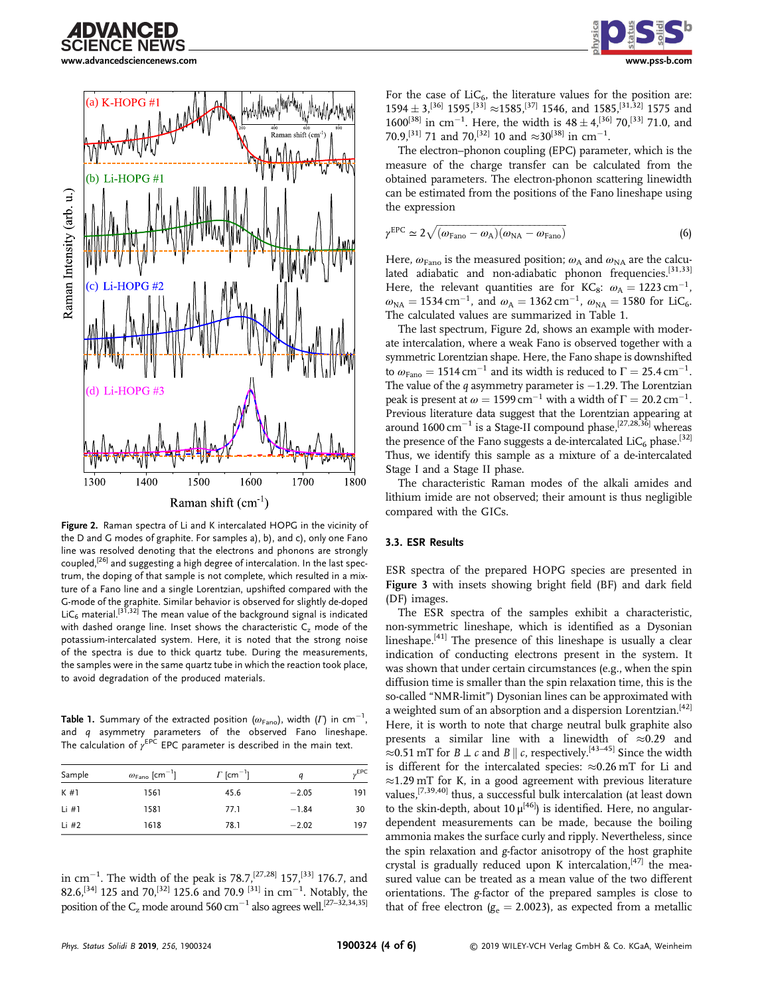



Figure 2. Raman spectra of Li and K intercalated HOPG in the vicinity of the D and G modes of graphite. For samples a), b), and c), only one Fano line was resolved denoting that the electrons and phonons are strongly coupled,[26] and suggesting a high degree of intercalation. In the last spectrum, the doping of that sample is not complete, which resulted in a mixture of a Fano line and a single Lorentzian, upshifted compared with the G-mode of the graphite. Similar behavior is observed for slightly de-doped LiC<sub>6</sub> material.<sup>[31,32]</sup> The mean value of the background signal is indicated with dashed orange line. Inset shows the characteristic C<sub>z</sub> mode of the potassium-intercalated system. Here, it is noted that the strong noise of the spectra is due to thick quartz tube. During the measurements, the samples were in the same quartz tube in which the reaction took place, to avoid degradation of the produced materials.

**Table 1.** Summary of the extracted position ( $\omega_{\text{\tiny Fano}}$ ), width ( $\mathit{\Gamma}$ ) in cm $^{-1}$ , and q asymmetry parameters of the observed Fano lineshape. The calculation of  $\gamma^{\text{EPC}}$  EPC parameter is described in the main text.

| Sample  | $\omega_{\mathsf{Fano}}~[\mathsf{cm}^{-1}]$ | $\Gamma$ [cm <sup>-1</sup> ] | a       | $v$ <sub>EPC</sub> |
|---------|---------------------------------------------|------------------------------|---------|--------------------|
| K#1     | 1561                                        | 45.6                         | $-2.05$ | 191                |
| Li $#1$ | 1581                                        | 77.1                         | $-1.84$ | 30                 |
| Li #2   | 1618                                        | 78.1                         | $-2.02$ | 197                |
|         |                                             |                              |         |                    |

in cm<sup>-1</sup>. The width of the peak is 78.7,<sup>[27,28]</sup> 157,<sup>[33]</sup> 176.7, and 82.6,<sup>[34]</sup> 125 and 70,<sup>[32]</sup> 125.6 and 70.9<sup>[31]</sup> in cm<sup>-1</sup>. Notably, the position of the  $C_z$  mode around 560 cm<sup>-1</sup> also agrees well.<sup>[27-32,34,35]</sup>



For the case of  $LiC<sub>6</sub>$ , the literature values for the position are:  $1594 \pm 3$ ,  $^{[36]}$  1595,  $^{[33]}$   $\approx$  1585,  $^{[37]}$  1546, and 1585,  $^{[31,32]}$  1575 and  $1600^{[38]}$  in cm<sup>-1</sup>. Here, the width is  $48 \pm 4$ ,<sup>[36]</sup> 70,<sup>[33]</sup> 71.0, and 70.9,<sup>[31]</sup> 71 and 70,<sup>[32]</sup> 10 and  $\approx 30^{[38]}$  in cm<sup>-1</sup>.

The electron–phonon coupling (EPC) parameter, which is the measure of the charge transfer can be calculated from the obtained parameters. The electron-phonon scattering linewidth can be estimated from the positions of the Fano lineshape using the expression

$$
\gamma^{\text{EPC}} \simeq 2\sqrt{(\omega_{\text{Fano}} - \omega_{\text{A}})(\omega_{\text{NA}} - \omega_{\text{Fano}})}
$$
(6)

Here,  $\omega_{\text{Fano}}$  is the measured position;  $\omega_A$  and  $\omega_{\text{NA}}$  are the calculated adiabatic and non-adiabatic phonon frequencies.<sup>[31,33]</sup> Here, the relevant quantities are for KC<sub>8</sub>:  $\omega_A = 1223 \text{ cm}^{-1}$ ,  $\omega_{NA} = 1534 \,\text{cm}^{-1}$ , and  $\omega_A = 1362 \,\text{cm}^{-1}$ ,  $\omega_{NA} = 1580$  for LiC<sub>6</sub>. The calculated values are summarized in Table 1.

The last spectrum, Figure 2d, shows an example with moderate intercalation, where a weak Fano is observed together with a symmetric Lorentzian shape. Here, the Fano shape is downshifted to  $\omega_{\text{Fano}} = 1514 \text{ cm}^{-1}$  and its width is reduced to  $\Gamma = 25.4 \text{ cm}^{-1}$ . The value of the q asymmetry parameter is  $-1.29$ . The Lorentzian peak is present at  $\omega = 1599$  cm<sup>-1</sup> with a width of  $\Gamma = 20.2$  cm<sup>-1</sup>. Previous literature data suggest that the Lorentzian appearing at around  $1600 \text{ cm}^{-1}$  is a Stage-II compound phase,<sup>[27,28,36]</sup> whereas the presence of the Fano suggests a de-intercalated  $LiC_6$  phase.<sup>[32]</sup> Thus, we identify this sample as a mixture of a de-intercalated Stage I and a Stage II phase.

The characteristic Raman modes of the alkali amides and lithium imide are not observed; their amount is thus negligible compared with the GICs.

#### 3.3. ESR Results

ESR spectra of the prepared HOPG species are presented in Figure 3 with insets showing bright field (BF) and dark field (DF) images.

The ESR spectra of the samples exhibit a characteristic, non-symmetric lineshape, which is identified as a Dysonian lineshape.<sup>[41]</sup> The presence of this lineshape is usually a clear indication of conducting electrons present in the system. It was shown that under certain circumstances (e.g., when the spin diffusion time is smaller than the spin relaxation time, this is the so-called "NMR-limit") Dysonian lines can be approximated with a weighted sum of an absorption and a dispersion Lorentzian.<sup>[42]</sup> Here, it is worth to note that charge neutral bulk graphite also presents a similar line with a linewidth of  $\approx 0.29$  and ≈0.51 mT for *B* ⊥ *c* and *B*  $\parallel$  *c*, respectively.<sup>[43–45]</sup> Since the width is different for the intercalated species:  $\approx 0.26$  mT for Li and  $\approx$ 1.29 mT for K, in a good agreement with previous literature values,[7,39,40] thus, a successful bulk intercalation (at least down to the skin-depth, about 10  $\mu^{[46]}$ ) is identified. Here, no angulardependent measurements can be made, because the boiling ammonia makes the surface curly and ripply. Nevertheless, since the spin relaxation and g-factor anisotropy of the host graphite crystal is gradually reduced upon K intercalation,  $[47]$  the measured value can be treated as a mean value of the two different orientations. The g-factor of the prepared samples is close to that of free electron ( $g_e = 2.0023$ ), as expected from a metallic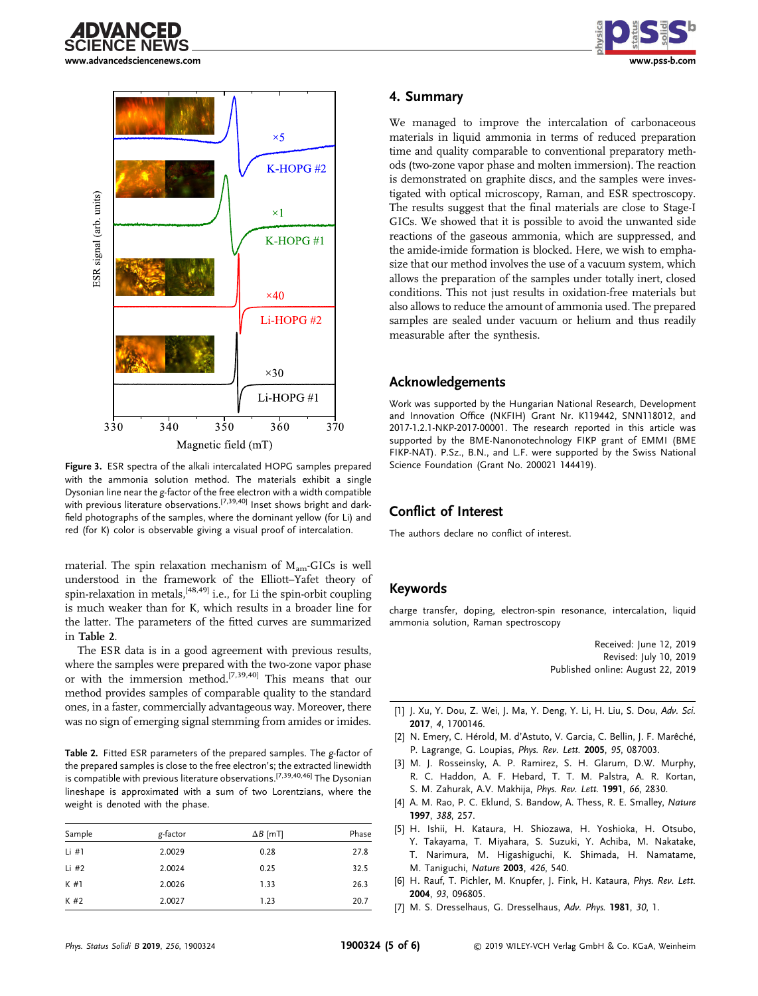





Figure 3. ESR spectra of the alkali intercalated HOPG samples prepared with the ammonia solution method. The materials exhibit a single Dysonian line near the g-factor of the free electron with a width compatible with previous literature observations.<sup>[7,39,40]</sup> Inset shows bright and darkfield photographs of the samples, where the dominant yellow (for Li) and red (for K) color is observable giving a visual proof of intercalation.

material. The spin relaxation mechanism of  $M_{am}$ -GICs is well understood in the framework of the Elliott–Yafet theory of spin-relaxation in metals,  $[48,49]$  i.e., for Li the spin-orbit coupling is much weaker than for K, which results in a broader line for the latter. The parameters of the fitted curves are summarized in Table 2.

The ESR data is in a good agreement with previous results, where the samples were prepared with the two-zone vapor phase or with the immersion method.[7,39,40] This means that our method provides samples of comparable quality to the standard ones, in a faster, commercially advantageous way. Moreover, there was no sign of emerging signal stemming from amides or imides.

Table 2. Fitted ESR parameters of the prepared samples. The g-factor of the prepared samples is close to the free electron's; the extracted linewidth is compatible with previous literature observations.<sup>[7,39,40,46]</sup> The Dysonian lineshape is approximated with a sum of two Lorentzians, where the weight is denoted with the phase.

| Sample  | g-factor | $\Delta B$ [mT] | Phase |
|---------|----------|-----------------|-------|
| Li $#1$ | 2.0029   | 0.28            | 27.8  |
| Li $#2$ | 2.0024   | 0.25            | 32.5  |
| K#1     | 2.0026   | 1.33            | 26.3  |
| K#2     | 2.0027   | 1.23            | 20.7  |

## 4. Summary

We managed to improve the intercalation of carbonaceous materials in liquid ammonia in terms of reduced preparation time and quality comparable to conventional preparatory methods (two-zone vapor phase and molten immersion). The reaction is demonstrated on graphite discs, and the samples were investigated with optical microscopy, Raman, and ESR spectroscopy. The results suggest that the final materials are close to Stage-I GICs. We showed that it is possible to avoid the unwanted side reactions of the gaseous ammonia, which are suppressed, and the amide-imide formation is blocked. Here, we wish to emphasize that our method involves the use of a vacuum system, which allows the preparation of the samples under totally inert, closed conditions. This not just results in oxidation-free materials but also allows to reduce the amount of ammonia used. The prepared samples are sealed under vacuum or helium and thus readily measurable after the synthesis.

### Acknowledgements

Work was supported by the Hungarian National Research, Development and Innovation Office (NKFIH) Grant Nr. K119442, SNN118012, and 2017-1.2.1-NKP-2017-00001. The research reported in this article was supported by the BME-Nanonotechnology FIKP grant of EMMI (BME FIKP-NAT). P.Sz., B.N., and L.F. were supported by the Swiss National Science Foundation (Grant No. 200021 144419).

# Conflict of Interest

The authors declare no conflict of interest.

# Keywords

charge transfer, doping, electron-spin resonance, intercalation, liquid ammonia solution, Raman spectroscopy

> Received: June 12, 2019 Revised: July 10, 2019 Published online: August 22, 2019

- [1] J. Xu, Y. Dou, Z. Wei, J. Ma, Y. Deng, Y. Li, H. Liu, S. Dou, Adv. Sci. 2017, 4, 1700146.
- [2] N. Emery, C. Hérold, M. d'Astuto, V. Garcia, C. Bellin, J. F. Marêché, P. Lagrange, G. Loupias, Phys. Rev. Lett. 2005, 95, 087003.
- [3] M. J. Rosseinsky, A. P. Ramirez, S. H. Glarum, D.W. Murphy, R. C. Haddon, A. F. Hebard, T. T. M. Palstra, A. R. Kortan, S. M. Zahurak, A.V. Makhija, Phys. Rev. Lett. 1991, 66, 2830.
- [4] A. M. Rao, P. C. Eklund, S. Bandow, A. Thess, R. E. Smalley, Nature 1997, 388, 257.
- [5] H. Ishii, H. Kataura, H. Shiozawa, H. Yoshioka, H. Otsubo, Y. Takayama, T. Miyahara, S. Suzuki, Y. Achiba, M. Nakatake, T. Narimura, M. Higashiguchi, K. Shimada, H. Namatame, M. Taniguchi, Nature 2003, 426, 540.
- [6] H. Rauf, T. Pichler, M. Knupfer, J. Fink, H. Kataura, Phys. Rev. Lett. 2004, 93, 096805.
- [7] M. S. Dresselhaus, G. Dresselhaus, Adv. Phys. 1981, 30, 1.